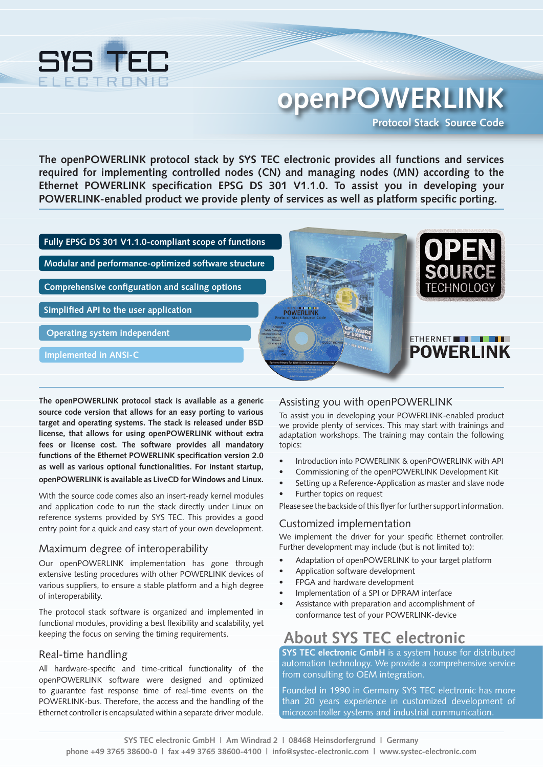

# **openPOWERLINK Protocol Stack Source Code**

**The openPOWERLINK protocol stack by SYS TEC electronic provides all functions and services required for implementing controlled nodes (CN) and managing nodes (MN) according to the Ethernet POWERLINK specification EPSG DS 301 V1.1.0. To assist you in developing your POWERLINK-enabled product we provide plenty of services as well as platform specific porting.**



**The openPOWERLINK protocol stack is available as a generic source code version that allows for an easy porting to various target and operating systems. The stack is released under BSD license, that allows for using openPOWERLINK without extra fees or license cost. The software provides all mandatory functions of the Ethernet POWERLINK specification version 2.0 as well as various optional functionalities. For instant startup, openPOWERLINK is available as LiveCD for Windows and Linux.**

With the source code comes also an insert-ready kernel modules and application code to run the stack directly under Linux on reference systems provided by SYS TEC. This provides a good entry point for a quick and easy start of your own development.

## Maximum degree of interoperability

Our openPOWERLINK implementation has gone through extensive testing procedures with other POWERLINK devices of various suppliers, to ensure a stable platform and a high degree of interoperability.

The protocol stack software is organized and implemented in functional modules, providing a best flexibility and scalability, yet keeping the focus on serving the timing requirements.

## Real-time handling

All hardware-specific and time-critical functionality of the openPOWERLINK software were designed and optimized to guarantee fast response time of real-time events on the POWERLINK-bus. Therefore, the access and the handling of the Ethernet controller is encapsulated within a separate driver module.

## Assisting you with openPOWERLINK

To assist you in developing your POWERLINK-enabled product we provide plenty of services. This may start with trainings and adaptation workshops. The training may contain the following topics:

- Introduction into POWERLINK & openPOWERLINK with API
- Commissioning of the openPOWERLINK Development Kit
- Setting up a Reference-Application as master and slave node
- Further topics on request

Please see the backside of this flyer for further support information.

## Customized implementation

We implement the driver for your specific Ethernet controller. Further development may include (but is not limited to):

- Adaptation of openPOWERLINK to your target platform
- Application software development
- FPGA and hardware development
- Implementation of a SPI or DPRAM interface
- Assistance with preparation and accomplishment of conformance test of your POWERLINK-device

## **About SYS TEC electronic**

**SYS TEC electronic GmbH** is a system house for distributed automation technology. We provide a comprehensive service from consulting to OEM integration.

Founded in 1990 in Germany SYS TEC electronic has more than 20 years experience in customized development of microcontroller systems and industrial communication.